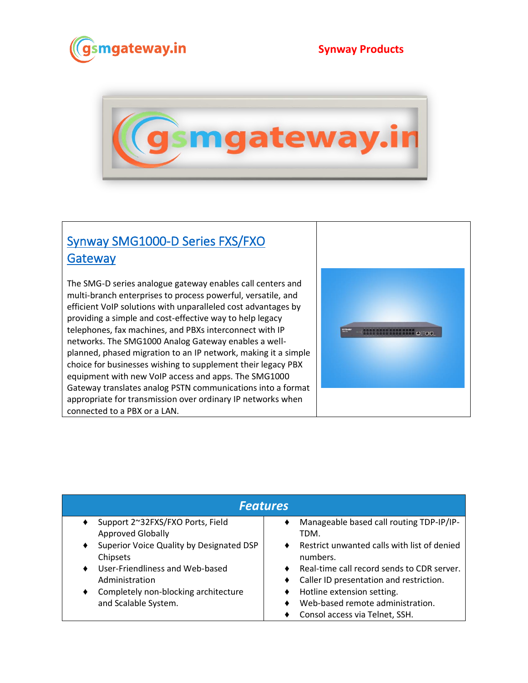



## [Synway SMG1000-D Series FXS/FXO](https://www.gsmgateway.in/synway/SMG1000-D-Series-FXSFXO-Gateway.html)  **Gateway**

The SMG-D series analogue gateway enables call centers and multi-branch enterprises to process powerful, versatile, and efficient VoIP solutions with unparalleled cost advantages by providing a simple and cost-effective way to help legacy telephones, fax machines, and PBXs interconnect with IP networks. The SMG1000 Analog Gateway enables a wellplanned, phased migration to an IP network, making it a simple choice for businesses wishing to supplement their legacy PBX equipment with new VoIP access and apps. The SMG1000 Gateway translates analog PSTN communications into a format appropriate for transmission over ordinary IP networks when connected to a PBX or a LAN.



| <b>Features</b>                                           |                                                         |  |
|-----------------------------------------------------------|---------------------------------------------------------|--|
| Support 2~32FXS/FXO Ports, Field                          | Manageable based call routing TDP-IP/IP-                |  |
| <b>Approved Globally</b>                                  | TDM.                                                    |  |
| Superior Voice Quality by Designated DSP<br>٠<br>Chipsets | Restrict unwanted calls with list of denied<br>numbers. |  |
| User-Friendliness and Web-based                           | Real-time call record sends to CDR server.              |  |
| Administration                                            | Caller ID presentation and restriction.                 |  |
| Completely non-blocking architecture                      | Hotline extension setting.                              |  |
| ٠                                                         | Web-based remote administration.                        |  |
| and Scalable System.                                      | Consol access via Telnet, SSH.                          |  |